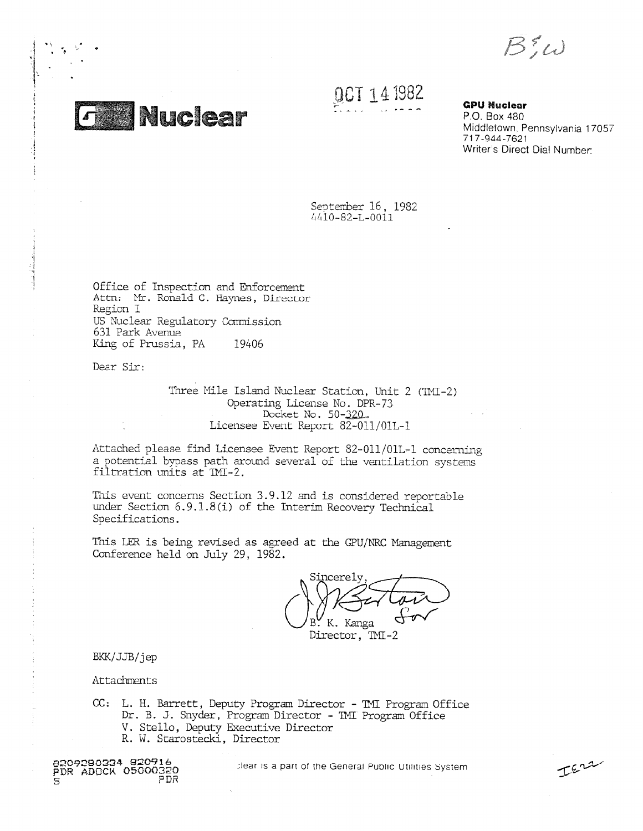$B_1^2\omega$ 



**pCT** 1962

**GPU Nuclear** P.O. Box 480 Middletown, Pennsylvania 17057 717-944-7621 Writer's Direct Dial Number:

IErr

September 16, 1982 64i0-82-L-0011

Office of Inspection and Enforcement Attn: Mr. Ronald C. Haynes, Director Region I US Nuclear Regulatory Commission 631 Park Avenue King of Prussia, PA 19406

Dear Sir:

Three Mile Island Nuclear Station, Unit 2 (TMI-2) Operating License No. DPR-73 Docket No. 50-32D\_ Licensee Event Report 82-011/01L-1

Attached please find Licensee Event Report 82-011/01L-1 concerning a potential bypass path around several of the ventilation systems filtration units at TMI-2.

This event concerns Section 3.9.12 and is considered reportable under Section 6.9.1.8(i) of the Interim Recovery Technical Specifications.

This LER is being revised as agreed at the CPU/NRC Management Conference held on July 29, 1982.

Sincerely B. K. Kanga

Director, TMI-2

BKK/JJB/jep

Attachments

CC: L. H. Barrett, Deputy Program Director - TMI Program Office Dr. B. J. Snyder, Program Director - TNT Program Office V. Stello, Deputy Executive Director R. W. Starostecki, Director



;lear is a part of me General Public Utilities System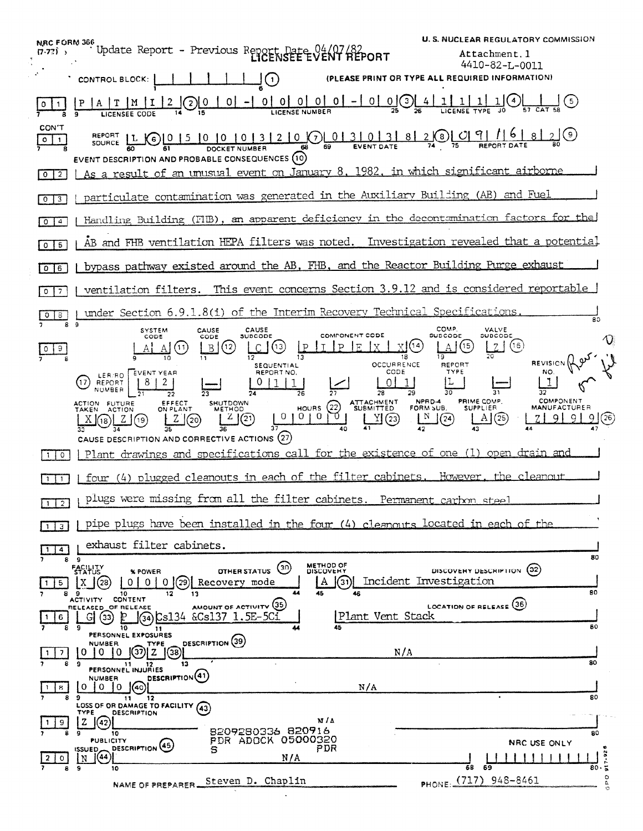NRC FORM 366<br>(7.72) S<br>CONTROL BLOCK:  $\begin{bmatrix} 1 & 1 & 1 \\ 1 & 1 & 1 \end{bmatrix}$  (1)<br>CONTROL BLOCK:  $\begin{bmatrix} 1 & 1 & 1 \\ 1 & 1 & 1 \end{bmatrix}$  (PLE ابا بالمجاز المجاز المجاز المجاز المجاز المجاز المجاز المجاز المجاز المجاز المجاز المجاز المجاز المجاز المجاز <br>المجاز المجاز المجاز المجاز المجاز المجاز المجاز المجاز المجاز المجاز المجاز المجاز المجاز المجاز المجاز المجا **U. S. NUCLEAR REGULATORY COMMISSION REPORT** Attachment.1 4410-82-L-0011 CONTROL BLOCK: I 1111110 **(PLEASE PRINT OR** TYPE ALL REQUIRED INFORMATION) IP IA IT 1M 1112 1010 I of -1 Oi of 01 01 01-101 0101 41 11 1 11 1101 <sup>I</sup> 10 **2 8 26 LICENSE TYPE JO 67 CAT 58**<br>
LICENSE CODE 14 15 LICENSE NUMBER<br>
LICENSE TYPE JO 57 CAT 58  $\frac{1}{\sqrt{2}}$  **8 6** LICENSEE CODE 14 19<br>
CON'T<br>
SOURCE **81** 2000 0 10 10 13 12 10 0 0 13 10 13 18 12 8 2 9 0 19 1 6 1 8 12 9  $\frac{\text{CONT}}{\circ \qquad \qquad }$ EVENT DESCRIPTION AND PROBABLE CONSEQUENCES 0 2 | As a result of an unusual event on January 8, 1982, in which significant airborne particulate contamination was generated in the Auxiliary Building (AB) and Fuel  $\sqrt{0}$   $\sqrt{3}$ **LOCI** Handling Building (FIIB), an apparent deficiency in the decontamination factors for the AB and FHB ventilation HEPA filters was noted. Investigation revealed that a potential  $\sqrt{0}$ o 6 1 bypass pathway existed around the AB, FHB, and the Reactor Building Purge exhaust ventilation filters. This event concerns Section 3.9.12 and is considered reportable |  $0 \mid 7$ under Section 6.9.1.8(i) of the Interim Recovery Technical Specifications.  $\overline{B}$  9  $\overline{B}$  9  $\overline{B}$  9  $\overline{B}$  9  $\overline{B}$  9  $\overline{B}$  9  $\overline{B}$  9  $\overline{B}$  9  $\overline{B}$  9  $\overline{B}$  9  $\overline{B}$  9  $\overline{B}$  9  $\overline{B}$  9  $\overline{B}$  9  $\overline{B}$  9  $\overline{B}$  9  $\overline{B}$  9  $\overline{B}$  9  $\overline{B}$  9  $\overline{B}$  9 SYSTEM CAUSE SUBCODE SUBCODE COMPONENT CODE SUBCODE SUBCODE SUBCODE A A A A A A A A A A A A CO CONPONENT CODE LILID A A A A CO CONPONENT CODE A A A A CO CONPONENT CODE A A A CO CONPONENT CODE A A A A CONPONENT CODE A A A C SYSTEM CAUSE CAUSE  $\blacksquare$ Immo we Lc\_lo LP I 1E ix LJ® e  $\bm{\mathrm{O}}$  $|0|9|$  $\frac{1}{9}$  10 11  $\frac{1}{2}$   $\frac{1}{3}$   $\frac{1}{3}$   $\frac{1}{3}$   $\frac{1}{3}$   $\frac{1}{3}$   $\frac{1}{20}$   $\frac{1}{20}$  REVISION  $\lim_{N\cup N\atop N\supset N\neq N} \mathbb{R}^{pN}$ SEQUENTIAL<br>REPORT NO. LER FORT YEAR
<br>REPORT NO. THE PORT NO. CODE TYPE LER RO EVENT YEAR REPORT NO. 11. I **NUMBER**  $\frac{1}{21}$   $\frac{1}{22}$   $\frac{1}{23}$   $\frac{1}{24}$   $\frac{1}{26}$   $\frac{1}{26}$   $\frac{1}{27}$   $\frac{1}{28}$   $\frac{1}{29}$   $\frac{1}{30}$   $\frac{1}{31}$   $\frac{1}{32}$ CTION FUTURE CEFFECT SHUTDOWN HOURS (22) ATTACHMENT NPRD-4 PRIME COMP. COMPONENT COMPONENT SUPPLIER MANUFACTURER<br>  $\begin{bmatrix} X \end{bmatrix}$ (3)  $\begin{bmatrix} Z \end{bmatrix}$ (3)  $\begin{bmatrix} Z \end{bmatrix}$  (20)  $\begin{bmatrix} Z \end{bmatrix}$  (21)  $\begin{bmatrix} 0 & 0 & 0 & 0 \end{bmatrix}$  ( ACTION FUTURE EFFECT SHUTDOWN (2) ATTACHMENT NPRD-4 PRIME COMP. COMPONENT<br>TAKEN ACTION ON PLANT METHOD HOURS (2) SUBMITTED FORM SUB\_ SUPPLIER MANUFACTURER AKEN ACTION ON PLANT METHOD HOURS (22) SUBMITTED FORMSUB. SUPPLIER.<br>  $\frac{X}{3}$  (18)  $\frac{2}{34}$  (19)  $\frac{2}{35}$  (20)  $\frac{2}{36}$  (21)  $\frac{10}{37}$  (10) 0) 0)  $\frac{10}{41}$  (23)  $\frac{N}{42}$  (24)  $\frac{1}{43}$  (25) CAUSE DESCRIPTION AND CORRECTIVE ACTIONS (27) **I**I Plant drawings and specifications call for the existence of one (1) open drain and [1] | four (4) plugged cleanouts in each of the filter cabinets. However, the cleanout **E**UM plugs were missing from all the filter cabinets. Permanent carbon steel pipe plugs have been installed in the four (4) cleanouts located in each of the  $\boxed{1}$   $\boxed{3}$ SURE A TO A THE RECOVERY MODE RECOVERY MODE TO A THE RECOVERY MODE TO A THE RECOVERY MODE TO A THE RECOVERY MODE TO A THE RECOVERY MODE TO A THE RECOVERY MODE TO A THE RECOVERY MODE TO A THE RECOVERY MODE TO A THE RECOVERY exhaust filter cabinets. <sup>1</sup>  $\frac{\sqrt{114}}{2}$ 80 OTHER STATUS <sup>(30</sup> METHOD OF DISCOVERY DESCRIPTION 02)<br>OVETY mode | | | A | (31)| Incident Investigation FACILITY<br>STATUS %POWER  $\frac{1}{2}$   $\frac{1}{2}$   $\frac{1}{2}$   $\frac{1}{2}$   $\frac{1}{2}$   $\frac{1}{2}$   $\frac{1}{2}$   $\frac{1}{2}$   $\frac{1}{2}$   $\frac{1}{2}$   $\frac{1}{2}$   $\frac{1}{2}$ ACTIVITY CONTENT 44 45 46 BO **RELEASED OF RELEASE** AMOUNT OF ACTIVITY **(35)**  $\frac{1}{8}$   $\frac{1}{9}$   $\frac{1}{3}$   $\frac{1}{10}$   $\frac{2}{11}$   $\frac{1}{10}$   $\frac{1}{10}$   $\frac{1}{10}$   $\frac{1}{10}$   $\frac{1}{10}$   $\frac{1}{10}$   $\frac{1}{10}$   $\frac{1}{10}$   $\frac{1}{10}$   $\frac{1}{10}$   $\frac{1}{10}$   $\frac{1}{10}$   $\frac{1}{10}$   $\frac{1}{10}$   $\frac{1}{10}$   $\frac{1$ . PERSONNEL EXPOSURES 80 8 NUMBER TYPE DESCRIPTION (39) N/A <sup>1</sup> 7 8 9 **PERSONNEL INJURIES** 80 **NUMBER DESCRIPTION 41**  $\left[\begin{array}{cc} 0 & 0 & 0 \\ \hline \end{array}\right]$   $\left[\begin{array}{cc} 0 & 0 & 0 \\ \hline \end{array}\right]$   $\left[\begin{array}{cc} 0 & 0 & 0 \\ \hline \end{array}\right]$   $\left[\begin{array}{cc} 0 & 0 & 0 \\ \hline \end{array}\right]$  $\frac{1}{8}$   $\frac{1}{9}$   $\frac{1}{11}$   $\frac{1}{12}$ **1** 80 **LOSS OF OR DAMAGE TO FACILITY (43)** TYPE DESCRIPTION m/A  $\frac{19}{8}$   $\frac{200}{8}$   $\frac{19}{10}$   $\frac{19}{10}$   $\frac{19}{10}$   $\frac{19}{10}$   $\frac{19}{10}$   $\frac{19}{10}$   $\frac{19}{10}$   $\frac{19}{10}$   $\frac{19}{10}$   $\frac{19}{10}$   $\frac{19}{10}$   $\frac{19}{10}$   $\frac{19}{10}$   $\frac{19}{10}$   $\frac{19}{10}$   $\frac{19}{10}$   $\frac{19$  $\left[2\right]$  $\left(42\right)$ PDR ADOCK 05000320<br>S  $\begin{array}{c}\n\text{ISUED} \\
\mid N\n\end{array}\n\begin{array}{c}\n\text{DI} \\
\text{O} \\
\text{IQ}\n\end{array}$ **ISSUED DESCRIPTION (45)**<br>
N/A<br>
N/A PDR 80- ; 1 1 1 1 1 1 1 1 1 1 <sub>80</sub><br>80 **1.** 9 10 618 69 1 NAME OF PREPARER Steven D. Chaplin PHONE: (717) 948-8461 ,..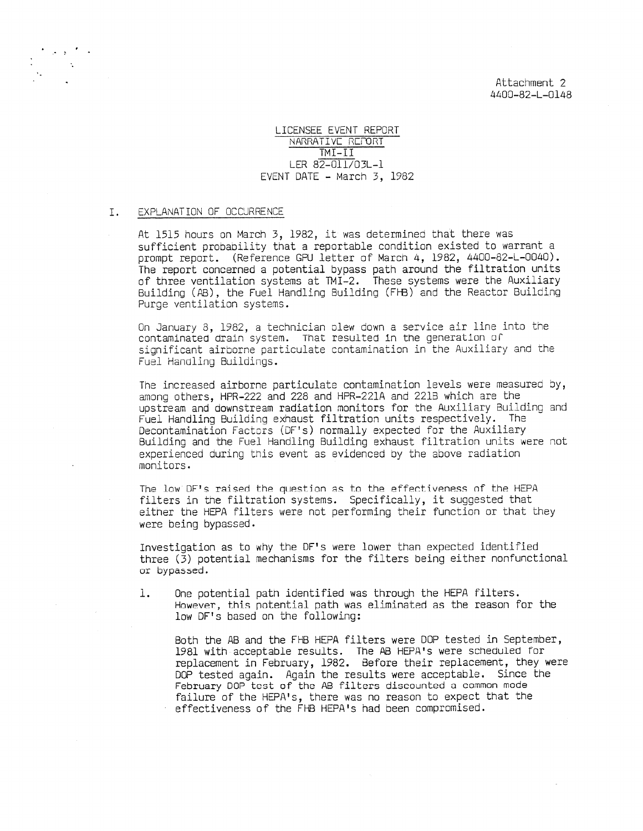Attachment 2 4400-82-L-0148

LICENSEE EVENT REPORT NARRATIvC REMRT TMI-II LER 82-011/03L-1 EVENT DATE - March 3, 1982

## I. EXPLANATION OF OCCURRENCE

'' a series

At 1515 hours on March 3, 1982, it was determined that there was sufficient probability that a reportable condition existed to warrant a prompt report. (Reference CPU letter of March 4, 1982, 4400-82-L-0040). The report concerned a potential bypass path around the filtration units of three ventilation systems at TMI-2. These systems were the Auxiliary Building (AB), the Fuel Handling Building (FHB) and the Reactor Building Purge ventilation systems.

On January 8, 1982, a technician clew down a service air line into the contaminated drain system. That resulted in the generation of significant airborne particulate contamination in the Auxiliary and the Fuel Handling Buildings.

The increased airborne particulate contamination levels were measured by, among others, HPR-222 and 228 and HPR-221A and 2213 which are the upstream and downstream radiation monitors for the Auxiliary Building and Fuel Handling Building exhaust filtration units respectively. The Decontamination Factors (DF's) normally expected for the Auxiliary Building and the Fuel Handling Building exhaust filtration units were not experienced during this event as evidenced by the above radiation monitors.

The low DF's raised the question as to the effectiveness of the HEPA filters in the filtration systems. Specifically, it suggested that either the HEPA filters were not performing their function or that they were being bypassed.

Investigation as to why the DF's were lower than expected identified three (3) potential mechanisms for the filters being either nonfunctional or bypa5sed.

1. One potential path identified was through the HEPA filters. However, this potential path was eliminated as the reason for the low DF's based on the following:

Both the AB and the FHB HEPA filters were DOP tested in September, 1981 with acceptable results. The AB HEPA's were scheduled for replacement in February, 1982. Before their replacement, they were DOP tested again. Again the results were acceptable. Since the February DOP test of the AB filters discounted a common mode failure of the HEPA's, there was no reason to expect that the effectiveness of the FHB HEPA's had been compromised.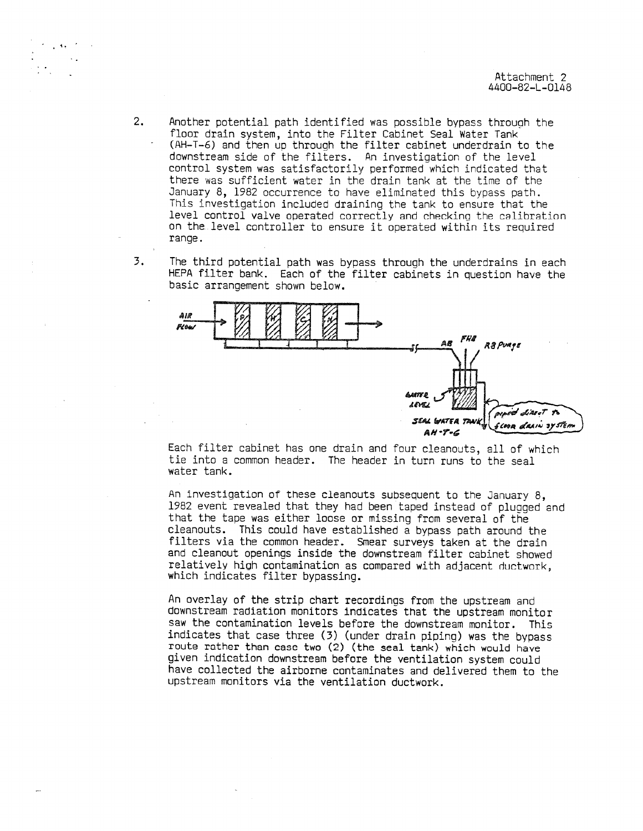2. Another potential path identified was possible bypass through the floor drain system, into the Filter Cabinet Seal Water Tank (AH-T-6) and then up through the filter cabinet underdrain to the downstream side of the filters. An investigation of the level control system was satisfactorily performed which indicated that there was sufficient water in the drain tank at the time of the January 8, 1982 occurrence to have eliminated this bypass path. This investigation included draining the tank to ensure that the level control valve operated correctly and checking the calihretion on the level controller to ensure it operated within its required range.

4,

3. The third potential path was bypass through the underdrains in each HEPA filter bank. Each of the filter cabinets in question have the basic arrangement shown below.



Each filter cabinet has one drain and four cleanouts, all of which tie into a common header. The header in turn runs to the seal water tank.

An investigation of these cleanouts subsequent to the January 8, 1982 event revealed that they had been taped instead of plugged and that the tape was either loose or missing from several of the cleanouts. This could have established a bypass path around the filters via the common header. Smear surveys taken at the drain and cleanout openings inside the downstream filter cabinet showed relatively hiah contamination as compared with adjacent ductwork, which indicates filter bypassing.

An overlay of the strip chart recordings from the upstream and downstream radiation monitors indicates that the upstream monitor saw the contamination levels before the downstream monitor. This indicates that case three (3) (under drain piping) was the bypass route rather than case two (2) (the seal tank) which would have given indication downstream before the ventilation system could have collected the airborne contaminates and delivered them to the upstream monitors via the ventilation ductwork.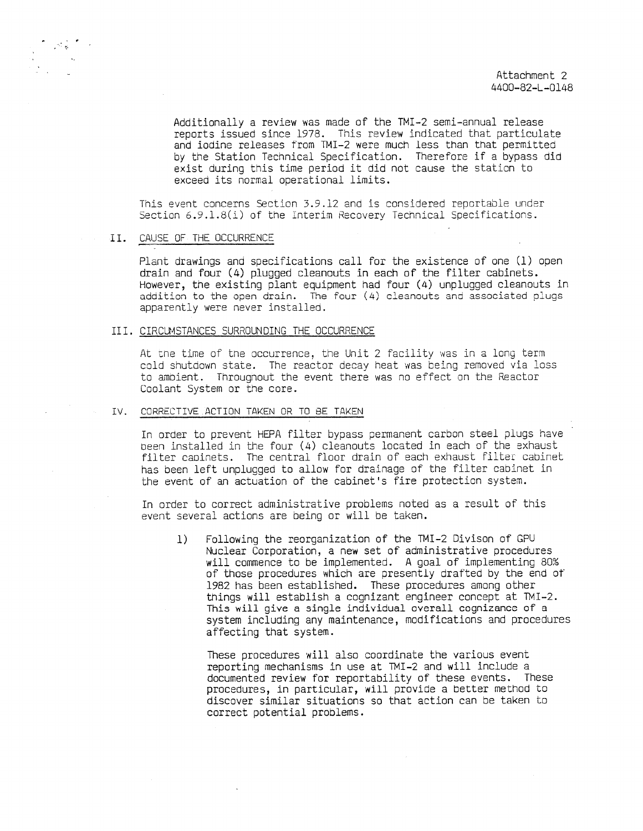Additionally a review was made of the TMI-2 semi-annual release reports issued since 1978. This review indicated that particulate and iodine releases from TMI-2 were much less than that permitted by the Station Technical Specification. Therefore if a bypass did exist during this time period it did not cause the station to exceed its normal operational limits.

This event concerns Section 3.9.12 and is considered reportable under Section 6.9.1.8(i) of the interim Recovery Technical Specifications.

## II. CAUSE OF THE OCCURRENCE

Plant drawings and specifications call for the existence of one (1) open drain and four (4) plugged cleanouts in each of the filter cabinets. However, the existing plant equipment had four (4) unplugged cleanouts in addition to the open drain. The four (4) cleanouts and associated plugs apparently were never installed.

## III. CIRCUMSTANCES SURROUNDING THE OCCURRENCE

At the time of the occurrence, the Unit 2 facility was in a long term cold shutdown state. The reactor decay heat was being removed via loss to ambient. Througnout the event there was no effect on the Reactor Coolant System or the core.

## IV. CORRECTIVE ACTION TAKEN OR TO BE TAKEN

In order to prevent HEPA filter bypass permanent carbon steel plugs have peen installed in the four (4) cleanouts located in each of the exhaust filter capinets. The central floor drain of each exhaust filter cabinet has been left unplugged to allow for drainage of the filter cabinet in the event of an actuation of the cabinet's fire protection system.

In order to correct administrative problems noted as a result of this event several actions are being or will be taken.

1) Following the reorganization of the TMI-2 Divison of GPU Nuclear Corporation, a new set of administrative procedures will commence to be implemented. A goal of implementing 80% of those procedures which are presently drafted by the end of 1982 has been established. These procedures among other things will establish a cognizant engineer concept at TMI-2. This will give a single individual overall cognizance of a system including any maintenance, modifications and procedures affecting that system.

These procedures will also coordinate the various event reporting mechanisms in use at TMI-2 and will include a documented review for reportability of these events. These procedures, in particular, will provide a better method to discover similar situations so that action can be taken to correct potential problems.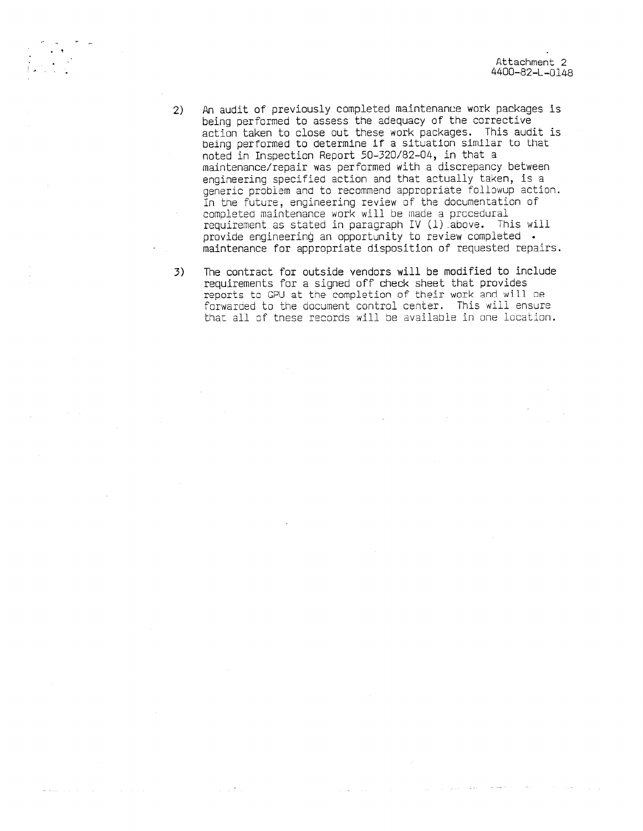- 2) An audit of previously completed maintenance work packages is being performed to assess the adequacy of the corrective action taken to close out these work packages. This audit is being performed to determine if a situation similar to that noted in Inspection Report 50-320/82-04, in that a maintenance/repair was performed with a discrepancy between engineering specified action and that actually taken, is a generic problem and to recommend appropriate followup action. In the future, engineering review of the documentation of completed maintenance work will be made a procedural requirement as stated in paragraph IV (1) above. This will provide engineering an opportunity to review completed . maintenance for appropriate disposition of requested repairs.
- 3) The contract for outside vendors will be modified to include requirements for a signed off check sheet that provides reports to GPU at the completion of their work and will be forwarded to the document control center. This will ensure that all of these records will be available in one location.

 $\sim 10^{-11}$